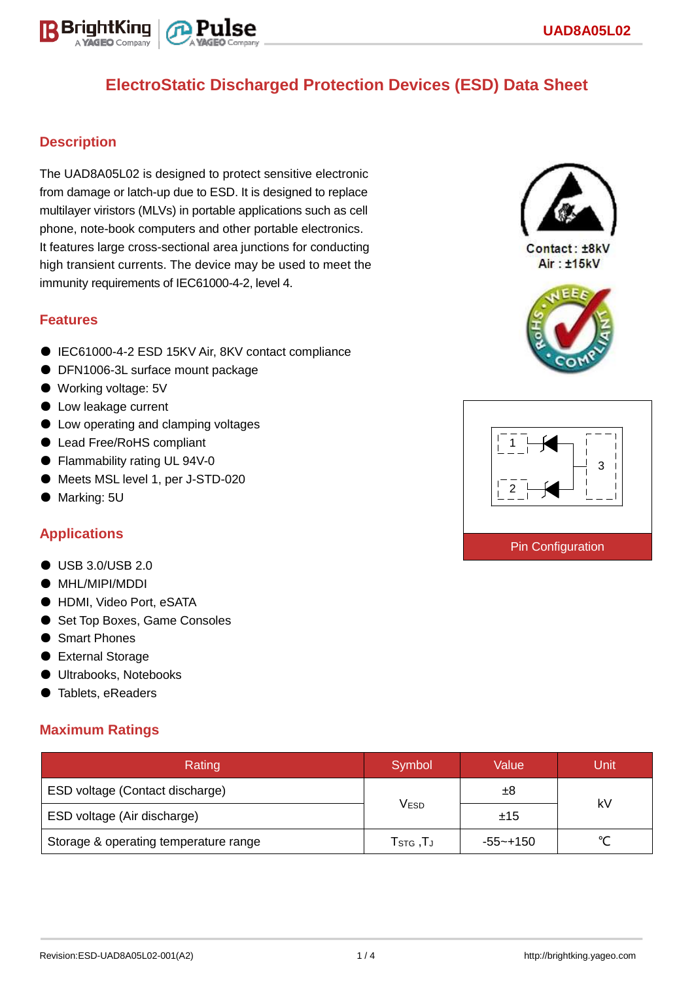

# **ElectroStatic Discharged Protection Devices (ESD) Data Sheet**

## **Description**

The UAD8A05L02 is designed to protect sensitive electronic from damage or latch-up due to ESD. It is designed to replace multilayer viristors (MLVs) in portable applications such as cell phone, note-book computers and other portable electronics. It features large cross-sectional area junctions for conducting high transient currents. The device may be used to meet the immunity requirements of IEC61000-4-2, level 4.

#### **Features**

- IEC61000-4-2 ESD 15KV Air, 8KV contact compliance
- DFN1006-3L surface mount package
- Working voltage: 5V
- Low leakage current
- Low operating and clamping voltages
- Lead Free/RoHS compliant
- Flammability rating UL 94V-0
- Meets MSL level 1, per J-STD-020
- Marking: 5U

### **Applications**

- USB 3.0/USB 2.0
- MHL/MIPI/MDDI
- HDMI, Video Port, eSATA
- Set Top Boxes, Game Consoles
- Smart Phones
- External Storage
- Ultrabooks, Notebooks
- Tablets, eReaders

### **Maximum Ratings**

| Rating                                | Symbol                                                  | Value    | Unit   |  |
|---------------------------------------|---------------------------------------------------------|----------|--------|--|
| ESD voltage (Contact discharge)       |                                                         | ±8       | kV     |  |
| ESD voltage (Air discharge)           | V <sub>ESD</sub>                                        | ±15      |        |  |
| Storage & operating temperature range | ${\mathsf T}_{\texttt{STG}}\,, {\mathsf T}_{\mathsf J}$ | -55~+150 | $\sim$ |  |



Contact: ±8kV Air: ±15kV



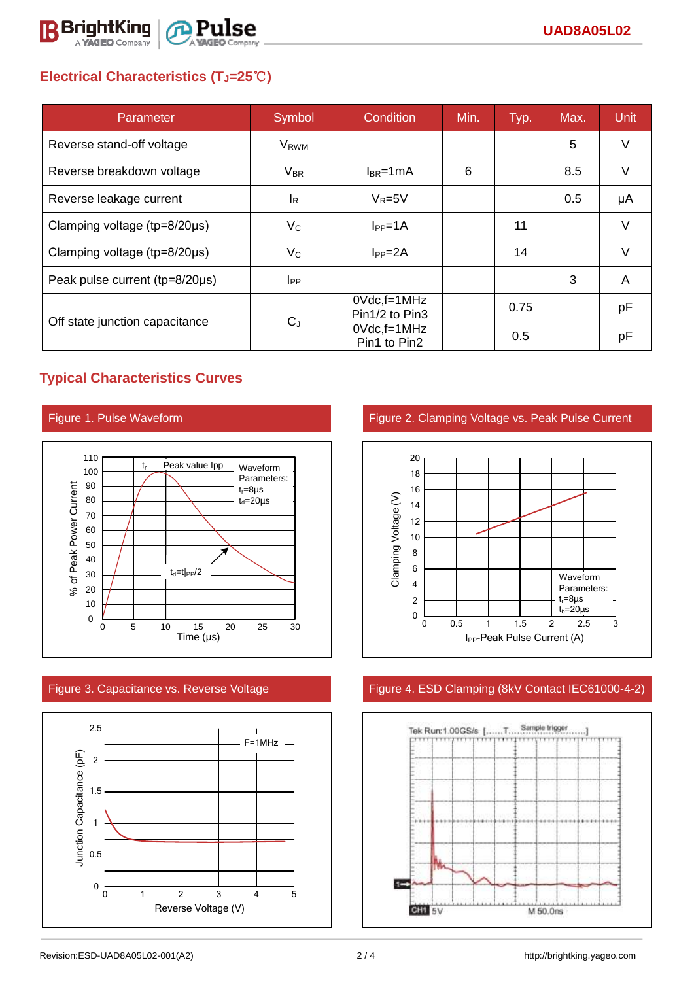

# **Electrical Characteristics (TJ=25**℃**)**

| Parameter                              | Symbol                  | Condition                            | Min. | Typ. | Max. | <b>Unit</b> |
|----------------------------------------|-------------------------|--------------------------------------|------|------|------|-------------|
| Reverse stand-off voltage              | <b>V</b> <sub>RWM</sub> |                                      |      |      | 5    | $\vee$      |
| Reverse breakdown voltage              | $V_{BR}$                | $I_{BR}$ =1mA                        | 6    |      | 8.5  | $\vee$      |
| Reverse leakage current                | IR.                     | $V_R = 5V$                           |      |      | 0.5  | μA          |
| Clamping voltage ( $tp=8/20\mu s$ )    | $V_C$                   | $I_{PP}=1A$                          |      | 11   |      | $\vee$      |
| Clamping voltage ( $tp = 8/20 \mu s$ ) | $V_C$                   | $I_{PP} = 2A$                        |      | 14   |      | V           |
| Peak pulse current (tp=8/20µs)         | $_{\rm lpp}$            |                                      |      |      | 3    | A           |
| Off state junction capacitance         | $C_{J}$                 | $0Vdc$ , f=1 $MHz$<br>Pin1/2 to Pin3 |      | 0.75 |      | рF          |
|                                        |                         | $0Vdc, f=1MHz$<br>Pin1 to Pin2       |      | 0.5  |      | рF          |

## **Typical Characteristics Curves**







Figure 1. Pulse Waveform **Figure 2. Clamping Voltage vs. Peak Pulse Current** 



## Figure 3. Capacitance vs. Reverse Voltage Figure 4. ESD Clamping (8kV Contact IEC61000-4-2)

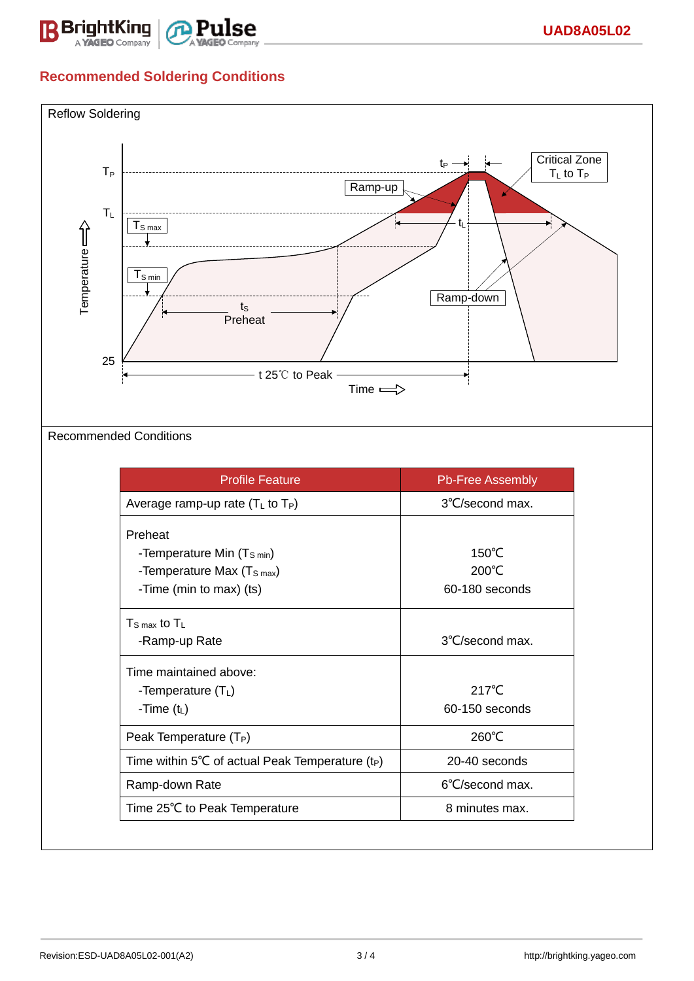

# **Recommended Soldering Conditions**